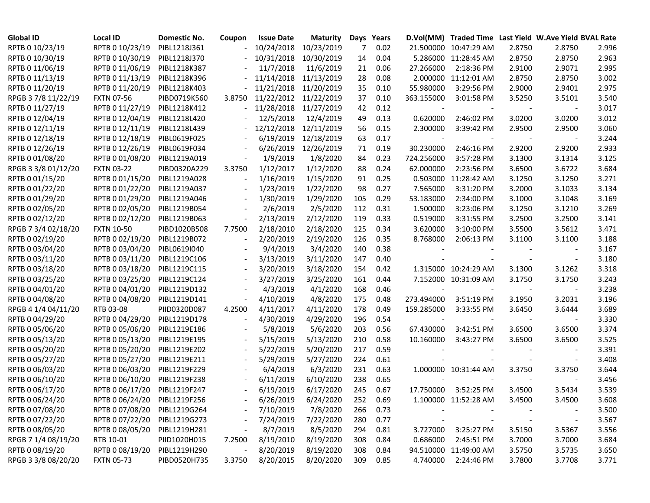| <b>Global ID</b>    | <b>Local ID</b>   | Domestic No. | Coupon                   | <b>Issue Date</b> | <b>Maturity</b>       | Days | Years |                | D.Vol(MM) Traded Time Last Yield W.Ave Yield BVAL Rate |        |        |       |
|---------------------|-------------------|--------------|--------------------------|-------------------|-----------------------|------|-------|----------------|--------------------------------------------------------|--------|--------|-------|
| RPTB 0 10/23/19     | RPTB 0 10/23/19   | PIBL1218J361 |                          |                   | 10/24/2018 10/23/2019 | 7    | 0.02  |                | 21.500000 10:47:29 AM                                  | 2.8750 | 2.8750 | 2.996 |
| RPTB 0 10/30/19     | RPTB 0 10/30/19   | PIBL1218J370 |                          |                   | 10/31/2018 10/30/2019 | 14   | 0.04  |                | 5.286000 11:28:45 AM                                   | 2.8750 | 2.8750 | 2.963 |
| RPTB 0 11/06/19     | RPTB 0 11/06/19   | PIBL1218K387 |                          | 11/7/2018         | 11/6/2019             | 21   | 0.06  | 27.266000      | 2:18:36 PM                                             | 2.9100 | 2.9071 | 2.995 |
| RPTB 0 11/13/19     | RPTB 0 11/13/19   | PIBL1218K396 |                          |                   | 11/14/2018 11/13/2019 | 28   | 0.08  |                | 2.000000 11:12:01 AM                                   | 2.8750 | 2.8750 | 3.002 |
| RPTB 0 11/20/19     | RPTB 0 11/20/19   | PIBL1218K403 |                          |                   | 11/21/2018 11/20/2019 | 35   | 0.10  | 55.980000      | 3:29:56 PM                                             | 2.9000 | 2.9401 | 2.975 |
| RPGB 3 7/8 11/22/19 | <b>FXTN 07-56</b> | PIBD0719K560 | 3.8750                   |                   | 11/22/2012 11/22/2019 | 37   | 0.10  | 363.155000     | 3:01:58 PM                                             | 3.5250 | 3.5101 | 3.540 |
| RPTB 0 11/27/19     | RPTB 0 11/27/19   | PIBL1218K412 |                          |                   | 11/28/2018 11/27/2019 | 42   | 0.12  |                |                                                        |        |        | 3.017 |
| RPTB 0 12/04/19     | RPTB 0 12/04/19   | PIBL1218L420 |                          | 12/5/2018         | 12/4/2019             | 49   | 0.13  | 0.620000       | 2:46:02 PM                                             | 3.0200 | 3.0200 | 3.012 |
| RPTB 0 12/11/19     | RPTB 0 12/11/19   | PIBL1218L439 |                          |                   | 12/12/2018 12/11/2019 | 56   | 0.15  | 2.300000       | 3:39:42 PM                                             | 2.9500 | 2.9500 | 3.060 |
| RPTB 0 12/18/19     | RPTB 0 12/18/19   | PIBL0619F025 |                          |                   | 6/19/2019 12/18/2019  | 63   | 0.17  |                |                                                        |        |        | 3.244 |
| RPTB 0 12/26/19     | RPTB 0 12/26/19   | PIBL0619F034 | $\overline{\phantom{a}}$ |                   | 6/26/2019 12/26/2019  | 71   | 0.19  | 30.230000      | 2:46:16 PM                                             | 2.9200 | 2.9200 | 2.933 |
| RPTB 0 01/08/20     | RPTB 0 01/08/20   | PIBL1219A019 | $\overline{\phantom{a}}$ | 1/9/2019          | 1/8/2020              | 84   | 0.23  | 724.256000     | 3:57:28 PM                                             | 3.1300 | 3.1314 | 3.125 |
| RPGB 3 3/8 01/12/20 | <b>FXTN 03-22</b> | PIBD0320A229 | 3.3750                   | 1/12/2017         | 1/12/2020             | 88   | 0.24  | 62.000000      | 2:23:56 PM                                             | 3.6500 | 3.6722 | 3.684 |
| RPTB 0 01/15/20     | RPTB 0 01/15/20   | PIBL1219A028 | $\overline{\phantom{a}}$ | 1/16/2019         | 1/15/2020             | 91   | 0.25  |                | 0.503000 11:28:42 AM                                   | 3.1250 | 3.1250 | 3.271 |
| RPTB 0 01/22/20     | RPTB 0 01/22/20   | PIBL1219A037 | $\overline{\phantom{a}}$ | 1/23/2019         | 1/22/2020             | 98   | 0.27  | 7.565000       | 3:31:20 PM                                             | 3.2000 | 3.1033 | 3.134 |
| RPTB 0 01/29/20     | RPTB 0 01/29/20   | PIBL1219A046 |                          | 1/30/2019         | 1/29/2020             | 105  | 0.29  | 53.183000      | 2:34:00 PM                                             | 3.1000 | 3.1048 | 3.169 |
| RPTB 0 02/05/20     | RPTB 0 02/05/20   | PIBL1219B054 |                          | 2/6/2019          | 2/5/2020              | 112  | 0.31  | 1.500000       | 3:23:06 PM                                             | 3.1250 | 3.1210 | 3.269 |
| RPTB 0 02/12/20     | RPTB 0 02/12/20   | PIBL1219B063 | $\overline{\phantom{a}}$ | 2/13/2019         | 2/12/2020             | 119  | 0.33  | 0.519000       | 3:31:55 PM                                             | 3.2500 | 3.2500 | 3.141 |
| RPGB 7 3/4 02/18/20 | <b>FXTN 10-50</b> | PIBD1020B508 | 7.7500                   | 2/18/2010         | 2/18/2020             | 125  | 0.34  | 3.620000       | 3:10:00 PM                                             | 3.5500 | 3.5612 | 3.471 |
| RPTB 0 02/19/20     | RPTB 0 02/19/20   | PIBL1219B072 | $\overline{\phantom{a}}$ | 2/20/2019         | 2/19/2020             | 126  | 0.35  | 8.768000       | 2:06:13 PM                                             | 3.1100 | 3.1100 | 3.188 |
| RPTB 0 03/04/20     | RPTB 0 03/04/20   | PIBL0619I040 |                          | 9/4/2019          | 3/4/2020              | 140  | 0.38  |                |                                                        |        |        | 3.167 |
| RPTB 0 03/11/20     | RPTB 0 03/11/20   | PIBL1219C106 | $\blacksquare$           | 3/13/2019         | 3/11/2020             | 147  | 0.40  |                |                                                        |        |        | 3.180 |
| RPTB 0 03/18/20     | RPTB 0 03/18/20   | PIBL1219C115 | $\overline{\phantom{a}}$ | 3/20/2019         | 3/18/2020             | 154  | 0.42  |                | 1.315000 10:24:29 AM                                   | 3.1300 | 3.1262 | 3.318 |
| RPTB 0 03/25/20     | RPTB 0 03/25/20   | PIBL1219C124 |                          | 3/27/2019         | 3/25/2020             | 161  | 0.44  |                | 7.152000 10:31:09 AM                                   | 3.1750 | 3.1750 | 3.243 |
| RPTB 0 04/01/20     | RPTB 0 04/01/20   | PIBL1219D132 |                          | 4/3/2019          | 4/1/2020              | 168  | 0.46  | $\blacksquare$ |                                                        |        |        | 3.238 |
| RPTB 0 04/08/20     | RPTB 0 04/08/20   | PIBL1219D141 | $\overline{\phantom{a}}$ | 4/10/2019         | 4/8/2020              | 175  | 0.48  | 273.494000     | 3:51:19 PM                                             | 3.1950 | 3.2031 | 3.196 |
| RPGB 4 1/4 04/11/20 | RTB 03-08         | PIID0320D087 | 4.2500                   | 4/11/2017         | 4/11/2020             | 178  | 0.49  | 159.285000     | 3:33:55 PM                                             | 3.6450 | 3.6444 | 3.689 |
| RPTB 0 04/29/20     | RPTB 0 04/29/20   | PIBL1219D178 |                          | 4/30/2019         | 4/29/2020             | 196  | 0.54  |                |                                                        |        |        | 3.330 |
| RPTB 0 05/06/20     | RPTB 0 05/06/20   | PIBL1219E186 |                          | 5/8/2019          | 5/6/2020              | 203  | 0.56  | 67.430000      | 3:42:51 PM                                             | 3.6500 | 3.6500 | 3.374 |
| RPTB 0 05/13/20     | RPTB 0 05/13/20   | PIBL1219E195 |                          | 5/15/2019         | 5/13/2020             | 210  | 0.58  | 10.160000      | 3:43:27 PM                                             | 3.6500 | 3.6500 | 3.525 |
| RPTB 0 05/20/20     | RPTB 0 05/20/20   | PIBL1219E202 |                          | 5/22/2019         | 5/20/2020             | 217  | 0.59  |                |                                                        |        |        | 3.391 |
| RPTB 0 05/27/20     | RPTB 0 05/27/20   | PIBL1219E211 |                          | 5/29/2019         | 5/27/2020             | 224  | 0.61  |                |                                                        |        |        | 3.408 |
| RPTB 0 06/03/20     | RPTB 0 06/03/20   | PIBL1219F229 |                          | 6/4/2019          | 6/3/2020              | 231  | 0.63  |                | 1.000000 10:31:44 AM                                   | 3.3750 | 3.3750 | 3.644 |
| RPTB 0 06/10/20     | RPTB 0 06/10/20   | PIBL1219F238 | $\overline{\phantom{a}}$ | 6/11/2019         | 6/10/2020             | 238  | 0.65  |                |                                                        |        |        | 3.456 |
| RPTB 0 06/17/20     | RPTB 0 06/17/20   | PIBL1219F247 | $\overline{\phantom{a}}$ | 6/19/2019         | 6/17/2020             | 245  | 0.67  | 17.750000      | 3:52:25 PM                                             | 3.4500 | 3.5434 | 3.539 |
| RPTB 0 06/24/20     | RPTB 0 06/24/20   | PIBL1219F256 |                          | 6/26/2019         | 6/24/2020             | 252  | 0.69  |                | 1.100000 11:52:28 AM                                   | 3.4500 | 3.4500 | 3.608 |
| RPTB 0 07/08/20     | RPTB 0 07/08/20   | PIBL1219G264 |                          | 7/10/2019         | 7/8/2020              | 266  | 0.73  |                |                                                        |        |        | 3.500 |
| RPTB 0 07/22/20     | RPTB 0 07/22/20   | PIBL1219G273 |                          | 7/24/2019         | 7/22/2020             | 280  | 0.77  |                |                                                        |        |        | 3.567 |
| RPTB 0 08/05/20     | RPTB 0 08/05/20   | PIBL1219H281 |                          | 8/7/2019          | 8/5/2020              | 294  | 0.81  | 3.727000       | 3:25:27 PM                                             | 3.5150 | 3.5367 | 3.556 |
| RPGB 7 1/4 08/19/20 | RTB 10-01         | PIID1020H015 | 7.2500                   | 8/19/2010         | 8/19/2020             | 308  | 0.84  | 0.686000       | 2:45:51 PM                                             | 3.7000 | 3.7000 | 3.684 |
| RPTB 0 08/19/20     | RPTB 0 08/19/20   | PIBL1219H290 |                          | 8/20/2019         | 8/19/2020             | 308  | 0.84  |                | 94.510000 11:49:00 AM                                  | 3.5750 | 3.5735 | 3.650 |
| RPGB 3 3/8 08/20/20 | <b>FXTN 05-73</b> | PIBD0520H735 | 3.3750                   | 8/20/2015         | 8/20/2020             | 309  | 0.85  | 4.740000       | 2:24:46 PM                                             | 3.7800 | 3.7708 | 3.771 |
|                     |                   |              |                          |                   |                       |      |       |                |                                                        |        |        |       |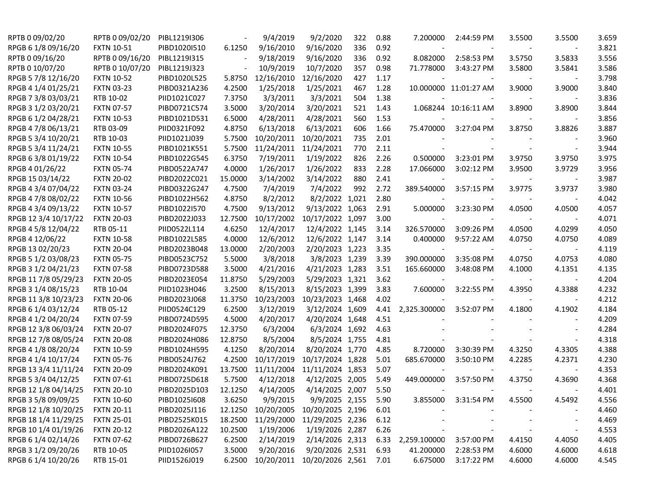| RPTB 0 09/02/20      | RPTB 0 09/02/20   | PIBL1219I306 |         | 9/4/2019   | 9/2/2020                    | 322 | 0.88 | 7.200000     | 2:44:59 PM               | 3.5500 | 3.5500                   | 3.659 |
|----------------------|-------------------|--------------|---------|------------|-----------------------------|-----|------|--------------|--------------------------|--------|--------------------------|-------|
| RPGB 6 1/8 09/16/20  | <b>FXTN 10-51</b> | PIBD1020I510 | 6.1250  | 9/16/2010  | 9/16/2020                   | 336 | 0.92 |              |                          |        |                          | 3.821 |
| RPTB 0 09/16/20      | RPTB 0 09/16/20   | PIBL1219I315 |         | 9/18/2019  | 9/16/2020                   | 336 | 0.92 | 8.082000     | 2:58:53 PM               | 3.5750 | 3.5833                   | 3.556 |
| RPTB 0 10/07/20      | RPTB 0 10/07/20   | PIBL1219J323 |         | 10/9/2019  | 10/7/2020                   | 357 | 0.98 | 71.778000    | 3:43:27 PM               | 3.5800 | 3.5841                   | 3.586 |
| RPGB 5 7/8 12/16/20  | <b>FXTN 10-52</b> | PIBD1020L525 | 5.8750  | 12/16/2010 | 12/16/2020                  | 427 | 1.17 |              |                          |        |                          | 3.798 |
| RPGB 4 1/4 01/25/21  | <b>FXTN 03-23</b> | PIBD0321A236 | 4.2500  | 1/25/2018  | 1/25/2021                   | 467 | 1.28 |              | 10.000000 11:01:27 AM    | 3.9000 | 3.9000                   | 3.840 |
| RPGB 7 3/8 03/03/21  | RTB 10-02         | PIID1021C027 | 7.3750  | 3/3/2011   | 3/3/2021                    | 504 | 1.38 |              |                          |        |                          | 3.836 |
| RPGB 3 1/2 03/20/21  | <b>FXTN 07-57</b> | PIBD0721C574 | 3.5000  | 3/20/2014  | 3/20/2021                   | 521 | 1.43 |              | 1.068244 10:16:11 AM     | 3.8900 | 3.8900                   | 3.844 |
| RPGB 6 1/2 04/28/21  | <b>FXTN 10-53</b> | PIBD1021D531 | 6.5000  | 4/28/2011  | 4/28/2021                   | 560 | 1.53 |              |                          |        |                          | 3.856 |
| RPGB 4 7/8 06/13/21  | RTB 03-09         | PIID0321F092 | 4.8750  | 6/13/2018  | 6/13/2021                   | 606 | 1.66 | 75.470000    | 3:27:04 PM               | 3.8750 | 3.8826                   | 3.887 |
| RPGB 5 3/4 10/20/21  | RTB 10-03         | PIID1021J039 | 5.7500  | 10/20/2011 | 10/20/2021                  | 735 | 2.01 |              |                          |        |                          | 3.960 |
| RPGB 5 3/4 11/24/21  | <b>FXTN 10-55</b> | PIBD1021K551 | 5.7500  | 11/24/2011 | 11/24/2021                  | 770 | 2.11 |              |                          |        |                          | 3.944 |
| RPGB 63/8 01/19/22   | <b>FXTN 10-54</b> | PIBD1022G545 | 6.3750  | 7/19/2011  | 1/19/2022                   | 826 | 2.26 | 0.500000     | 3:23:01 PM               | 3.9750 | 3.9750                   | 3.975 |
| RPGB 4 01/26/22      | <b>FXTN 05-74</b> | PIBD0522A747 | 4.0000  | 1/26/2017  | 1/26/2022                   | 833 | 2.28 | 17.066000    | 3:02:12 PM               | 3.9500 | 3.9729                   | 3.956 |
| RPGB 15 03/14/22     | <b>FXTN 20-02</b> | PIBD2022C021 | 15.0000 | 3/14/2002  | 3/14/2022                   | 880 | 2.41 |              |                          |        |                          | 3.987 |
| RPGB 4 3/4 07/04/22  | <b>FXTN 03-24</b> | PIBD0322G247 | 4.7500  | 7/4/2019   | 7/4/2022                    | 992 | 2.72 | 389.540000   | 3:57:15 PM               | 3.9775 | 3.9737                   | 3.980 |
| RPGB 4 7/8 08/02/22  | <b>FXTN 10-56</b> | PIBD1022H562 | 4.8750  | 8/2/2012   | 8/2/2022 1,021              |     | 2.80 |              |                          |        |                          | 4.042 |
| RPGB 4 3/4 09/13/22  | <b>FXTN 10-57</b> | PIBD1022I570 | 4.7500  | 9/13/2012  | 9/13/2022 1,063             |     | 2.91 | 5.000000     | 3:23:30 PM               | 4.0500 | 4.0500                   | 4.057 |
| RPGB 12 3/4 10/17/22 | <b>FXTN 20-03</b> | PIBD2022J033 | 12.7500 | 10/17/2002 | 10/17/2022 1,097            |     | 3.00 |              |                          |        |                          | 4.071 |
| RPGB 4 5/8 12/04/22  | RTB 05-11         | PIID0522L114 | 4.6250  | 12/4/2017  | 12/4/2022 1,145             |     | 3.14 | 326.570000   | 3:09:26 PM               | 4.0500 | 4.0299                   | 4.050 |
| RPGB 4 12/06/22      | <b>FXTN 10-58</b> | PIBD1022L585 | 4.0000  | 12/6/2012  | 12/6/2022 1,147             |     | 3.14 | 0.400000     | 9:57:22 AM               | 4.0750 | 4.0750                   | 4.089 |
| RPGB 13 02/20/23     | <b>FXTN 20-04</b> | PIBD2023B048 | 13.0000 | 2/20/2003  | 2/20/2023 1,223             |     | 3.35 |              |                          |        |                          | 4.119 |
| RPGB 5 1/2 03/08/23  | <b>FXTN 05-75</b> | PIBD0523C752 | 5.5000  | 3/8/2018   | 3/8/2023 1,239              |     | 3.39 | 390.000000   | 3:35:08 PM               | 4.0750 | 4.0753                   | 4.080 |
| RPGB 3 1/2 04/21/23  | <b>FXTN 07-58</b> | PIBD0723D588 | 3.5000  | 4/21/2016  | 4/21/2023 1,283             |     | 3.51 | 165.660000   | 3:48:08 PM               | 4.1000 | 4.1351                   | 4.135 |
| RPGB 117/8 05/29/23  | <b>FXTN 20-05</b> | PIBD2023E054 | 11.8750 | 5/29/2003  | 5/29/2023 1,321             |     | 3.62 |              |                          |        |                          | 4.204 |
| RPGB 3 1/4 08/15/23  | RTB 10-04         | PIID1023H046 | 3.2500  | 8/15/2013  | 8/15/2023 1,399             |     | 3.83 | 7.600000     | 3:22:55 PM               | 4.3950 | 4.3388                   | 4.232 |
| RPGB 11 3/8 10/23/23 | <b>FXTN 20-06</b> | PIBD2023J068 | 11.3750 | 10/23/2003 | 10/23/2023 1,468            |     | 4.02 |              | $\overline{\phantom{a}}$ |        |                          | 4.212 |
| RPGB 6 1/4 03/12/24  | RTB 05-12         | PIID0524C129 | 6.2500  | 3/12/2019  | 3/12/2024 1,609             |     | 4.41 | 2,325.300000 | 3:52:07 PM               | 4.1800 | 4.1902                   | 4.184 |
| RPGB 4 1/2 04/20/24  | <b>FXTN 07-59</b> | PIBD0724D595 | 4.5000  | 4/20/2017  | 4/20/2024 1,648             |     | 4.51 |              |                          |        |                          | 4.209 |
| RPGB 12 3/8 06/03/24 | <b>FXTN 20-07</b> | PIBD2024F075 | 12.3750 | 6/3/2004   | 6/3/2024 1,692              |     | 4.63 |              |                          |        |                          | 4.284 |
| RPGB 12 7/8 08/05/24 | <b>FXTN 20-08</b> | PIBD2024H086 | 12.8750 | 8/5/2004   | 8/5/2024 1,755              |     | 4.81 |              |                          |        |                          | 4.318 |
| RPGB 4 1/8 08/20/24  | <b>FXTN 10-59</b> | PIBD1024H595 | 4.1250  | 8/20/2014  | 8/20/2024 1,770             |     | 4.85 | 8.720000     | 3:30:39 PM               | 4.3250 | 4.3305                   | 4.388 |
| RPGB 4 1/4 10/17/24  | <b>FXTN 05-76</b> | PIBD0524J762 | 4.2500  | 10/17/2019 | 10/17/2024 1,828            |     | 5.01 | 685.670000   | 3:50:10 PM               | 4.2285 | 4.2371                   | 4.230 |
| RPGB 13 3/4 11/11/24 | <b>FXTN 20-09</b> | PIBD2024K091 | 13.7500 | 11/11/2004 | 11/11/2024 1,853            |     | 5.07 |              |                          |        |                          | 4.353 |
| RPGB 5 3/4 04/12/25  | <b>FXTN 07-61</b> | PIBD0725D618 | 5.7500  | 4/12/2018  | 4/12/2025 2,005             |     | 5.49 | 449.000000   | 3:57:50 PM               | 4.3750 | 4.3690                   | 4.368 |
| RPGB 12 1/8 04/14/25 | <b>FXTN 20-10</b> | PIBD2025D103 | 12.1250 | 4/14/2005  | 4/14/2025 2,007             |     | 5.50 |              |                          |        |                          | 4.401 |
| RPGB 3 5/8 09/09/25  | <b>FXTN 10-60</b> | PIBD10251608 | 3.6250  | 9/9/2015   | 9/9/2025 2,155              |     | 5.90 | 3.855000     | 3:31:54 PM               | 4.5500 | 4.5492                   | 4.556 |
| RPGB 12 1/8 10/20/25 | <b>FXTN 20-11</b> | PIBD2025J116 | 12.1250 |            | 10/20/2005 10/20/2025 2,196 |     | 6.01 |              |                          |        | $\overline{\phantom{a}}$ | 4.460 |
| RPGB 18 1/4 11/29/25 | <b>FXTN 25-01</b> | PIBD2525K015 | 18.2500 |            | 11/29/2000 11/29/2025 2,236 |     | 6.12 |              |                          |        |                          | 4.469 |
| RPGB 10 1/4 01/19/26 | <b>FXTN 20-12</b> | PIBD2026A122 | 10.2500 | 1/19/2006  | 1/19/2026 2,287             |     | 6.26 |              |                          |        |                          | 4.553 |
| RPGB 6 1/4 02/14/26  | <b>FXTN 07-62</b> | PIBD0726B627 | 6.2500  | 2/14/2019  | 2/14/2026 2,313             |     | 6.33 | 2,259.100000 | 3:57:00 PM               | 4.4150 | 4.4050                   | 4.405 |
| RPGB 3 1/2 09/20/26  | RTB 10-05         | PIID1026I057 | 3.5000  | 9/20/2016  | 9/20/2026 2,531             |     | 6.93 | 41.200000    | 2:28:53 PM               | 4.6000 | 4.6000                   | 4.618 |
| RPGB 6 1/4 10/20/26  | RTB 15-01         | PIID1526J019 | 6.2500  |            | 10/20/2011 10/20/2026 2,561 |     | 7.01 | 6.675000     | 3:17:22 PM               | 4.6000 | 4.6000                   | 4.545 |
|                      |                   |              |         |            |                             |     |      |              |                          |        |                          |       |